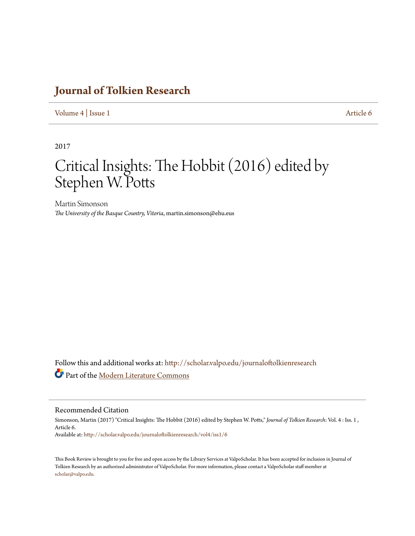## **[Journal of Tolkien Research](http://scholar.valpo.edu/journaloftolkienresearch?utm_source=scholar.valpo.edu%2Fjournaloftolkienresearch%2Fvol4%2Fiss1%2F6&utm_medium=PDF&utm_campaign=PDFCoverPages)**

[Volume 4](http://scholar.valpo.edu/journaloftolkienresearch/vol4?utm_source=scholar.valpo.edu%2Fjournaloftolkienresearch%2Fvol4%2Fiss1%2F6&utm_medium=PDF&utm_campaign=PDFCoverPages) | [Issue 1](http://scholar.valpo.edu/journaloftolkienresearch/vol4/iss1?utm_source=scholar.valpo.edu%2Fjournaloftolkienresearch%2Fvol4%2Fiss1%2F6&utm_medium=PDF&utm_campaign=PDFCoverPages) [Article 6](http://scholar.valpo.edu/journaloftolkienresearch/vol4/iss1/6?utm_source=scholar.valpo.edu%2Fjournaloftolkienresearch%2Fvol4%2Fiss1%2F6&utm_medium=PDF&utm_campaign=PDFCoverPages)

2017

## Critical Insights: The Hobbit (2016) edited by Stephen W. Potts

Martin Simonson *The University of the Basque Country, Vitoria*, martin.simonson@ehu.eus

Follow this and additional works at: [http://scholar.valpo.edu/journaloftolkienresearch](http://scholar.valpo.edu/journaloftolkienresearch?utm_source=scholar.valpo.edu%2Fjournaloftolkienresearch%2Fvol4%2Fiss1%2F6&utm_medium=PDF&utm_campaign=PDFCoverPages) Part of the [Modern Literature Commons](http://network.bepress.com/hgg/discipline/1050?utm_source=scholar.valpo.edu%2Fjournaloftolkienresearch%2Fvol4%2Fiss1%2F6&utm_medium=PDF&utm_campaign=PDFCoverPages)

## Recommended Citation

Simonson, Martin (2017) "Critical Insights: The Hobbit (2016) edited by Stephen W. Potts," *Journal of Tolkien Research*: Vol. 4 : Iss. 1 , Article 6. Available at: [http://scholar.valpo.edu/journaloftolkienresearch/vol4/iss1/6](http://scholar.valpo.edu/journaloftolkienresearch/vol4/iss1/6?utm_source=scholar.valpo.edu%2Fjournaloftolkienresearch%2Fvol4%2Fiss1%2F6&utm_medium=PDF&utm_campaign=PDFCoverPages)

This Book Review is brought to you for free and open access by the Library Services at ValpoScholar. It has been accepted for inclusion in Journal of Tolkien Research by an authorized administrator of ValpoScholar. For more information, please contact a ValpoScholar staff member at [scholar@valpo.edu.](mailto:scholar@valpo.edu)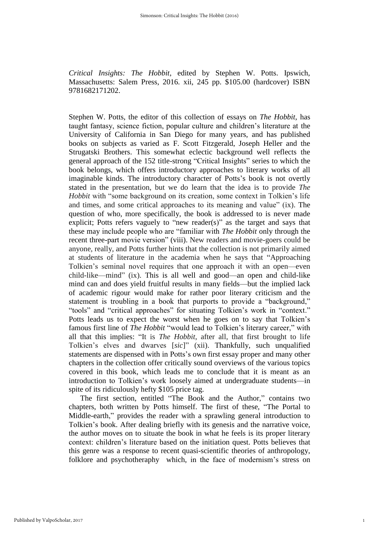*Critical Insights: The Hobbit*, edited by Stephen W. Potts. Ipswich, Massachusetts: Salem Press, 2016. xii, 245 pp. \$105.00 (hardcover) ISBN 9781682171202.

Stephen W. Potts, the editor of this collection of essays on *The Hobbit*, has taught fantasy, science fiction, popular culture and children's literature at the University of California in San Diego for many years, and has published books on subjects as varied as F. Scott Fitzgerald, Joseph Heller and the Strugatski Brothers. This somewhat eclectic background well reflects the general approach of the 152 title-strong "Critical Insights" series to which the book belongs, which offers introductory approaches to literary works of all imaginable kinds. The introductory character of Potts's book is not overtly stated in the presentation, but we do learn that the idea is to provide *The Hobbit* with "some background on its creation, some context in Tolkien's life and times, and some critical approaches to its meaning and value" (ix). The question of who, more specifically, the book is addressed to is never made explicit; Potts refers vaguely to "new reader(s)" as the target and says that these may include people who are "familiar with *The Hobbit* only through the recent three-part movie version" (viii). New readers and movie-goers could be anyone, really, and Potts further hints that the collection is not primarily aimed at students of literature in the academia when he says that "Approaching Tolkien's seminal novel requires that one approach it with an open—even child-like—mind" (ix). This is all well and good—an open and child-like mind can and does yield fruitful results in many fields—but the implied lack of academic rigour would make for rather poor literary criticism and the statement is troubling in a book that purports to provide a "background," "tools" and "critical approaches" for situating Tolkien's work in "context." Potts leads us to expect the worst when he goes on to say that Tolkien's famous first line of *The Hobbit* "would lead to Tolkien's literary career," with all that this implies: "It is *The Hobbit*, after all, that first brought to life Tolkien's elves and dwarves [*sic*]" (xii). Thankfully, such unqualified statements are dispensed with in Potts's own first essay proper and many other chapters in the collection offer critically sound overviews of the various topics covered in this book, which leads me to conclude that it is meant as an introduction to Tolkien's work loosely aimed at undergraduate students—in spite of its ridiculously hefty \$105 price tag.

The first section, entitled "The Book and the Author," contains two chapters, both written by Potts himself. The first of these, "The Portal to Middle-earth," provides the reader with a sprawling general introduction to Tolkien's book. After dealing briefly with its genesis and the narrative voice, the author moves on to situate the book in what he feels is its proper literary context: children's literature based on the initiation quest. Potts believes that this genre was a response to recent quasi-scientific theories of anthropology, folklore and psychotheraphy which, in the face of modernism's stress on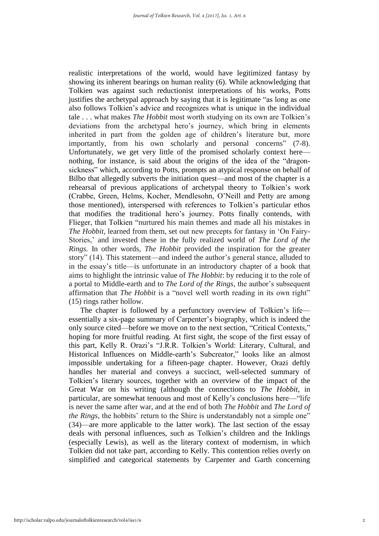realistic interpretations of the world, would have legitimized fantasy by showing its inherent bearings on human reality (6). While acknowledging that Tolkien was against such reductionist interpretations of his works, Potts justifies the archetypal approach by saying that it is legitimate "as long as one also follows Tolkien's advice and recognizes what is unique in the individual tale . . . what makes *The Hobbit* most worth studying on its own are Tolkien's deviations from the archetypal hero's journey, which bring in elements inherited in part from the golden age of children's literature but, more importantly, from his own scholarly and personal concerns" (7-8). Unfortunately, we get very little of the promised scholarly context here nothing, for instance, is said about the origins of the idea of the "dragonsickness" which, according to Potts, prompts an atypical response on behalf of Bilbo that allegedly subverts the initiation quest—and most of the chapter is a rehearsal of previous applications of archetypal theory to Tolkien's work (Crabbe, Green, Helms, Kocher, Mendlesohn, O'Neill and Petty are among those mentioned), interspersed with references to Tolkien's particular ethos that modifies the traditional hero's journey. Potts finally contends, with Flieger, that Tolkien "nurtured his main themes and made all his mistakes in *The Hobbit*, learned from them, set out new precepts for fantasy in 'On Fairy-Stories,' and invested these in the fully realized world of *The Lord of the Rings.* In other words, *The Hobbit* provided the inspiration for the greater story" (14). This statement—and indeed the author's general stance, alluded to in the essay's title—is unfortunate in an introductory chapter of a book that aims to highlight the intrinsic value of *The Hobbit*: by reducing it to the role of a portal to Middle-earth and to *The Lord of the Rings*, the author's subsequent affirmation that *The Hobbit* is a "novel well worth reading in its own right" (15) rings rather hollow.

The chapter is followed by a perfunctory overview of Tolkien's life essentially a six-page summary of Carpenter's biography, which is indeed the only source cited—before we move on to the next section, "Critical Contexts," hoping for more fruitful reading. At first sight, the scope of the first essay of this part, Kelly R. Orazi's "J.R.R. Tolkien's World: Literary, Cultural, and Historical Influences on Middle-earth's Subcreator," looks like an almost impossible undertaking for a fifteen-page chapter. However, Orazi deftly handles her material and conveys a succinct, well-selected summary of Tolkien's literary sources, together with an overview of the impact of the Great War on his writing (although the connections to *The Hobbit*, in particular, are somewhat tenuous and most of Kelly's conclusions here—"life is never the same after war, and at the end of both *The Hobbit* and *The Lord of the Rings*, the hobbits' return to the Shire is understandably not a simple one" (34)—are more applicable to the latter work). The last section of the essay deals with personal influences, such as Tolkien's children and the Inklings (especially Lewis), as well as the literary context of modernism, in which Tolkien did not take part, according to Kelly. This contention relies overly on simplified and categorical statements by Carpenter and Garth concerning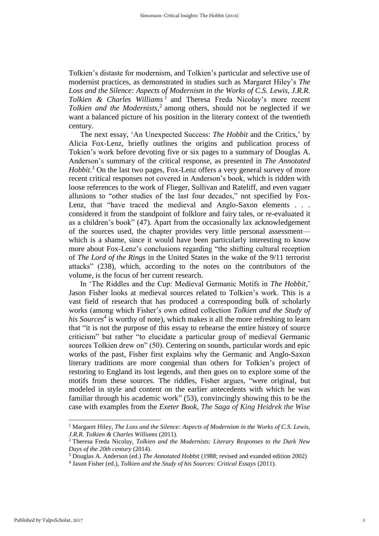Tolkien's distaste for modernism, and Tolkien's particular and selective use of modernist practices, as demonstrated in studies such as Margaret Hiley's *The Loss and the Silence: Aspects of Modernism in the Works of C.S. Lewis, J.R.R.*  Tolkien & Charles Williams<sup>1</sup> and Theresa Freda Nicolay's more recent *Tolkien and the Modernists*, 2 among others, should not be neglected if we want a balanced picture of his position in the literary context of the twentieth century.

The next essay, 'An Unexpected Success: *The Hobbit* and the Critics,' by Alicia Fox-Lenz, briefly outlines the origins and publication process of Tokien's work before devoting five or six pages to a summary of Douglas A. Anderson's summary of the critical response, as presented in *The Annotated Hobbit*. <sup>3</sup> On the last two pages, Fox-Lenz offers a very general survey of more recent critical responses not covered in Anderson's book, which is ridden with loose references to the work of Flieger, Sullivan and Rateliff, and even vaguer allusions to "other studies of the last four decades," not specified by Fox-Lenz, that "have traced the medieval and Anglo-Saxon elements . . . considered it from the standpoint of folklore and fairy tales, or re-evaluated it as a children's book" (47). Apart from the occasionally lax acknowledgement of the sources used, the chapter provides very little personal assessment which is a shame, since it would have been particularly interesting to know more about Fox-Lenz's conclusions regarding "the shifting cultural reception of *The Lord of the Rings* in the United States in the wake of the 9/11 terrorist attacks" (238), which, according to the notes on the contributors of the volume, is the focus of her current research.

In 'The Riddles and the Cup: Medieval Germanic Motifs in *The Hobbit*,' Jason Fisher looks at medieval sources related to Tolkien's work. This is a vast field of research that has produced a corresponding bulk of scholarly works (among which Fisher's own edited collection *Tolkien and the Study of his Sources<sup>4</sup>* is worthy of note), which makes it all the more refreshing to learn that "it is not the purpose of this essay to rehearse the entire history of source criticism" but rather "to elucidate a particular group of medieval Germanic sources Tolkien drew on" (50). Centering on sounds, particular words and epic works of the past, Fisher first explains why the Germanic and Anglo-Saxon literary traditions are more congenial than others for Tolkien's project of restoring to England its lost legends, and then goes on to explore some of the motifs from these sources. The riddles, Fisher argues, "were original, but modeled in style and content on the earlier antecedents with which he was familiar through his academic work" (53), convincingly showing this to be the case with examples from the *Exeter Book*, *The Saga of King Heidrek the Wise*

 $\overline{\phantom{a}}$ 

<sup>1</sup> Margaret Hiley, *The Loss and the Silence: Aspects of Modernism in the Works of C.S. Lewis, J.R.R. Tolkien & Charles Williams* (2011).

<sup>2</sup> Theresa Freda Nicolay, *Tolkien and the Modernists: Literary Responses to the Dark New Days of the 20th century* (2014).

<sup>3</sup> Douglas A. Anderson (ed.) *The Annotated Hobbit* (1988; revised and exanded edition 2002)

<sup>4</sup> Jason Fisher (ed.), *Tolkien and the Study of his Sources: Critical Essays* (2011).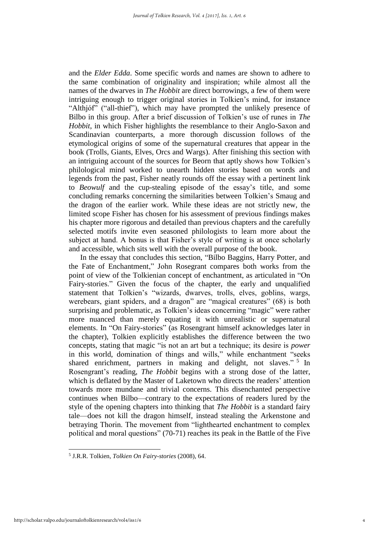and the *Elder Edda*. Some specific words and names are shown to adhere to the same combination of originality and inspiration; while almost all the names of the dwarves in *The Hobbit* are direct borrowings, a few of them were intriguing enough to trigger original stories in Tolkien's mind, for instance "Althjóf" ("all-thief"), which may have prompted the unlikely presence of Bilbo in this group. After a brief discussion of Tolkien's use of runes in *The Hobbit*, in which Fisher highlights the resemblance to their Anglo-Saxon and Scandinavian counterparts, a more thorough discussion follows of the etymological origins of some of the supernatural creatures that appear in the book (Trolls, Giants, Elves, Orcs and Wargs). After finishing this section with an intriguing account of the sources for Beorn that aptly shows how Tolkien's philological mind worked to unearth hidden stories based on words and legends from the past, Fisher neatly rounds off the essay with a pertinent link to *Beowulf* and the cup-stealing episode of the essay's title, and some concluding remarks concerning the similarities between Tolkien's Smaug and the dragon of the earlier work. While these ideas are not strictly new, the limited scope Fisher has chosen for his assessment of previous findings makes his chapter more rigorous and detailed than previous chapters and the carefully selected motifs invite even seasoned philologists to learn more about the subject at hand. A bonus is that Fisher's style of writing is at once scholarly and accessible, which sits well with the overall purpose of the book.

In the essay that concludes this section, "Bilbo Baggins, Harry Potter, and the Fate of Enchantment," John Rosegrant compares both works from the point of view of the Tolkienian concept of enchantment, as articulated in "On Fairy-stories." Given the focus of the chapter, the early and unqualified statement that Tolkien's "wizards, dwarves, trolls, elves, goblins, wargs, werebears, giant spiders, and a dragon" are "magical creatures" (68) is both surprising and problematic, as Tolkien's ideas concerning "magic" were rather more nuanced than merely equating it with unrealistic or supernatural elements. In "On Fairy-stories" (as Rosengrant himself acknowledges later in the chapter), Tolkien explicitly establishes the difference between the two concepts, stating that magic "is not an art but a technique; its desire is *power* in this world, domination of things and wills," while enchantment "seeks shared enrichment, partners in making and delight, not slaves."<sup>5</sup> In Rosengrant's reading, *The Hobbit* begins with a strong dose of the latter, which is deflated by the Master of Laketown who directs the readers' attention towards more mundane and trivial concerns. This disenchanted perspective continues when Bilbo—contrary to the expectations of readers lured by the style of the opening chapters into thinking that *The Hobbit* is a standard fairy tale—does not kill the dragon himself, instead stealing the Arkenstone and betraying Thorin. The movement from "lighthearted enchantment to complex political and moral questions" (70-71) reaches its peak in the Battle of the Five

 $\overline{a}$ 5 J.R.R. Tolkien, *Tolkien On Fairy-stories* (2008), 64.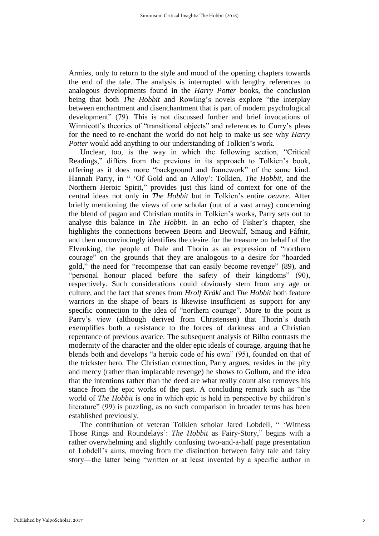Armies, only to return to the style and mood of the opening chapters towards the end of the tale. The analysis is interrupted with lengthy references to analogous developments found in the *Harry Potter* books, the conclusion being that both *The Hobbit* and Rowling's novels explore "the interplay between enchantment and disenchantment that is part of modern psychological development" (79). This is not discussed further and brief invocations of Winnicott's theories of "transitional objects" and references to Curry's pleas for the need to re-enchant the world do not help to make us see why *Harry Potter* would add anything to our understanding of Tolkien's work.

Unclear, too, is the way in which the following section, "Critical Readings," differs from the previous in its approach to Tolkien's book, offering as it does more "background and framework" of the same kind. Hannah Parry, in " 'Of Gold and an Alloy': Tolkien, *The Hobbit*, and the Northern Heroic Spirit," provides just this kind of context for one of the central ideas not only in *The Hobbit* but in Tolkien's entire *oeuvre*. After briefly mentioning the views of one scholar (out of a vast array) concerning the blend of pagan and Christian motifs in Tolkien's works, Parry sets out to analyse this balance in *The Hobbit*. In an echo of Fisher's chapter, she highlights the connections between Beorn and Beowulf, Smaug and Fáfnir, and then unconvincingly identifies the desire for the treasure on behalf of the Elvenking, the people of Dale and Thorin as an expression of "northern courage" on the grounds that they are analogous to a desire for "hoarded gold," the need for "recompense that can easily become revenge" (89), and "personal honour placed before the safety of their kingdoms" (90), respectively. Such considerations could obviously stem from any age or culture, and the fact that scenes from *Hrolf Kráki* and *The Hobbit* both feature warriors in the shape of bears is likewise insufficient as support for any specific connection to the idea of "northern courage". More to the point is Parry's view (although derived from Christensen) that Thorin's death exemplifies both a resistance to the forces of darkness and a Christian repentance of previous avarice. The subsequent analysis of Bilbo contrasts the modernity of the character and the older epic ideals of courage, arguing that he blends both and develops "a heroic code of his own" (95), founded on that of the trickster hero. The Christian connection, Parry argues, resides in the pity and mercy (rather than implacable revenge) he shows to Gollum, and the idea that the intentions rather than the deed are what really count also removes his stance from the epic works of the past. A concluding remark such as "the world of *The Hobbit* is one in which epic is held in perspective by children's literature" (99) is puzzling, as no such comparison in broader terms has been established previously.

The contribution of veteran Tolkien scholar Jared Lobdell, " 'Witness Those Rings and Roundelays': *The Hobbit* as Fairy-Story," begins with a rather overwhelming and slightly confusing two-and-a-half page presentation of Lobdell's aims, moving from the distinction between fairy tale and fairy story—the latter being "written or at least invented by a specific author in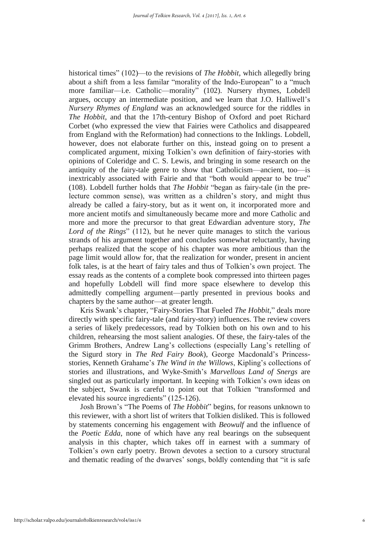historical times" (102)—to the revisions of *The Hobbit*, which allegedly bring about a shift from a less familar "morality of the Indo-European" to a "much more familiar—i.e. Catholic—morality" (102). Nursery rhymes, Lobdell argues, occupy an intermediate position, and we learn that J.O. Halliwell's *Nursery Rhymes of England* was an acknowledged source for the riddles in *The Hobbit*, and that the 17th-century Bishop of Oxford and poet Richard Corbet (who expressed the view that Fairies were Catholics and disappeared from England with the Reformation) had connections to the Inklings. Lobdell, however, does not elaborate further on this, instead going on to present a complicated argument, mixing Tolkien's own definition of fairy-stories with opinions of Coleridge and C. S. Lewis, and bringing in some research on the antiquity of the fairy-tale genre to show that Catholicism—ancient, too—is inextricably associated with Fairie and that "both would appear to be true" (108). Lobdell further holds that *The Hobbit* "began as fairy-tale (in the prelecture common sense), was written as a children's story, and might thus already be called a fairy-story, but as it went on, it incorporated more and more ancient motifs and simultaneously became more and more Catholic and more and more the precursor to that great Edwardian adventure story, *The Lord of the Rings*" (112), but he never quite manages to stitch the various strands of his argument together and concludes somewhat reluctantly, having perhaps realized that the scope of his chapter was more ambitious than the page limit would allow for, that the realization for wonder, present in ancient folk tales, is at the heart of fairy tales and thus of Tolkien's own project. The essay reads as the contents of a complete book compressed into thirteen pages and hopefully Lobdell will find more space elsewhere to develop this admittedly compelling argument—partly presented in previous books and chapters by the same author—at greater length.

Kris Swank's chapter, "Fairy-Stories That Fueled *The Hobbit*," deals more directly with specific fairy-tale (and fairy-story) influences. The review covers a series of likely predecessors, read by Tolkien both on his own and to his children, rehearsing the most salient analogies. Of these, the fairy-tales of the Grimm Brothers, Andrew Lang's collections (especially Lang's retelling of the Sigurd story in *The Red Fairy Book*), George Macdonald's Princessstories, Kenneth Grahame's *The Wind in the Willows*, Kipling's collections of stories and illustrations, and Wyke-Smith's *Marvellous Land of Snergs* are singled out as particularly important. In keeping with Tolkien's own ideas on the subject, Swank is careful to point out that Tolkien "transformed and elevated his source ingredients" (125-126).

Josh Brown's "The Poems of *The Hobbit*" begins, for reasons unknown to this reviewer, with a short list of writers that Tolkien disliked. This is followed by statements concerning his engagement with *Beowulf* and the influence of the *Poetic Edda*, none of which have any real bearings on the subsequent analysis in this chapter, which takes off in earnest with a summary of Tolkien's own early poetry. Brown devotes a section to a cursory structural and thematic reading of the dwarves' songs, boldly contending that "it is safe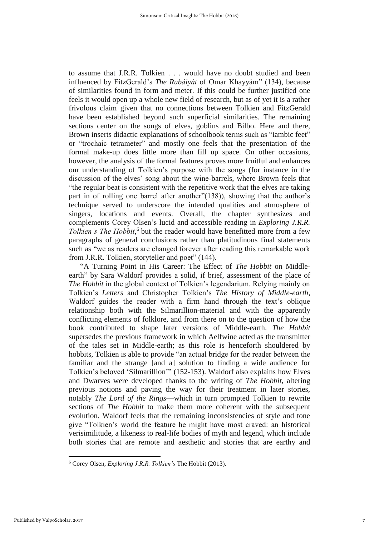to assume that J.R.R. Tolkien . . . would have no doubt studied and been influenced by FitzGerald's *The Rubáiyát* of Omar Khayyám" (134), because of similarities found in form and meter. If this could be further justified one feels it would open up a whole new field of research, but as of yet it is a rather frivolous claim given that no connections between Tolkien and FitzGerald have been established beyond such superficial similarities. The remaining sections center on the songs of elves, goblins and Bilbo. Here and there, Brown inserts didactic explanations of schoolbook terms such as "iambic feet" or "trochaic tetrameter" and mostly one feels that the presentation of the formal make-up does little more than fill up space. On other occasions, however, the analysis of the formal features proves more fruitful and enhances our understanding of Tolkien's purpose with the songs (for instance in the discussion of the elves' song about the wine-barrels, where Brown feels that "the regular beat is consistent with the repetitive work that the elves are taking part in of rolling one barrel after another"(138)), showing that the author's technique served to underscore the intended qualities and atmosphere of singers, locations and events. Overall, the chapter synthesizes and complements Corey Olsen's lucid and accessible reading in *Exploring J.R.R.*  Tolkien's The Hobbit,<sup>6</sup> but the reader would have benefitted more from a few paragraphs of general conclusions rather than platitudinous final statements such as "we as readers are changed forever after reading this remarkable work from J.R.R. Tolkien, storyteller and poet" (144).

"A Turning Point in His Career: The Effect of *The Hobbit* on Middleearth" by Sara Waldorf provides a solid, if brief, assessment of the place of *The Hobbit* in the global context of Tolkien's legendarium. Relying mainly on Tolkien's *Letters* and Christopher Tolkien's *The History of Middle-earth*, Waldorf guides the reader with a firm hand through the text's oblique relationship both with the Silmarillion-material and with the apparently conflicting elements of folklore, and from there on to the question of how the book contributed to shape later versions of Middle-earth. *The Hobbit* supersedes the previous framework in which Aelfwine acted as the transmitter of the tales set in Middle-earth; as this role is henceforth shouldered by hobbits, Tolkien is able to provide "an actual bridge for the reader between the familiar and the strange [and a] solution to finding a wide audience for Tolkien's beloved 'Silmarillion'" (152-153). Waldorf also explains how Elves and Dwarves were developed thanks to the writing of *The Hobbit*, altering previous notions and paving the way for their treatment in later stories, notably *The Lord of the Rings*—which in turn prompted Tolkien to rewrite sections of *The Hobbit* to make them more coherent with the subsequent evolution. Waldorf feels that the remaining inconsistencies of style and tone give "Tolkien's world the feature he might have most craved: an historical verisimilitude, a likeness to real-life bodies of myth and legend, which include both stories that are remote and aesthetic and stories that are earthy and

 $\overline{\phantom{a}}$ 

<sup>6</sup> Corey Olsen, *Exploring J.R.R. Tolkien's* The Hobbit (2013).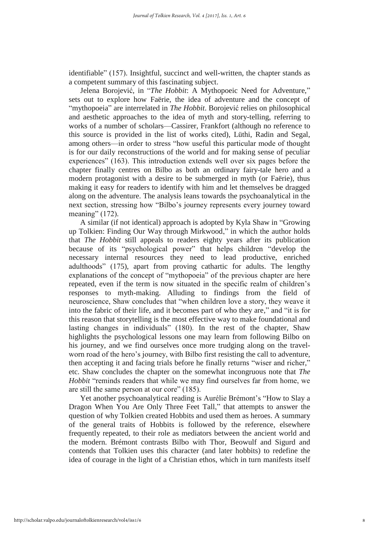identifiable" (157). Insightful, succinct and well-written, the chapter stands as a competent summary of this fascinating subject.

Jelena Borojević, in "*The Hobbit*: A Mythopoeic Need for Adventure," sets out to explore how Faërie, the idea of adventure and the concept of "mythopoeia" are interrelated in *The Hobbit*. Borojević relies on philosophical and aesthetic approaches to the idea of myth and story-telling, referring to works of a number of scholars—Cassirer, Frankfort (although no reference to this source is provided in the list of works cited), Lüthi, Radin and Segal, among others—in order to stress "how useful this particular mode of thought is for our daily reconstructions of the world and for making sense of peculiar experiences" (163). This introduction extends well over six pages before the chapter finally centres on Bilbo as both an ordinary fairy-tale hero and a modern protagonist with a desire to be submerged in myth (or Faërie), thus making it easy for readers to identify with him and let themselves be dragged along on the adventure. The analysis leans towards the psychoanalytical in the next section, stressing how "Bilbo's journey represents every journey toward meaning" (172).

A similar (if not identical) approach is adopted by Kyla Shaw in "Growing up Tolkien: Finding Our Way through Mirkwood," in which the author holds that *The Hobbit* still appeals to readers eighty years after its publication because of its "psychological power" that helps children "develop the necessary internal resources they need to lead productive, enriched adulthoods" (175), apart from proving cathartic for adults. The lengthy explanations of the concept of "mythopoeia" of the previous chapter are here repeated, even if the term is now situated in the specific realm of children's responses to myth-making. Alluding to findings from the field of neuroscience, Shaw concludes that "when children love a story, they weave it into the fabric of their life, and it becomes part of who they are," and "it is for this reason that storytelling is the most effective way to make foundational and lasting changes in individuals" (180). In the rest of the chapter, Shaw highlights the psychological lessons one may learn from following Bilbo on his journey, and we find ourselves once more trudging along on the travelworn road of the hero's journey, with Bilbo first resisting the call to adventure, then accepting it and facing trials before he finally returns "wiser and richer," etc. Shaw concludes the chapter on the somewhat incongruous note that *The Hobbit* "reminds readers that while we may find ourselves far from home, we are still the same person at our core" (185).

Yet another psychoanalytical reading is Aurélie Brémont's "How to Slay a Dragon When You Are Only Three Feet Tall," that attempts to answer the question of why Tolkien created Hobbits and used them as heroes. A summary of the general traits of Hobbits is followed by the reference, elsewhere frequently repeated, to their role as mediators between the ancient world and the modern. Brémont contrasts Bilbo with Thor, Beowulf and Sigurd and contends that Tolkien uses this character (and later hobbits) to redefine the idea of courage in the light of a Christian ethos, which in turn manifests itself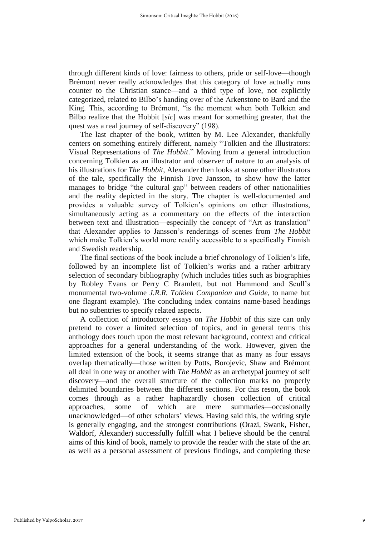through different kinds of love: fairness to others, pride or self-love—though Brémont never really acknowledges that this category of love actually runs counter to the Christian stance—and a third type of love, not explicitly categorized, related to Bilbo's handing over of the Arkenstone to Bard and the King. This, according to Brémont, "is the moment when both Tolkien and Bilbo realize that the Hobbit [*sic*] was meant for something greater, that the quest was a real journey of self-discovery" (198).

The last chapter of the book, written by M. Lee Alexander, thankfully centers on something entirely different, namely "Tolkien and the Illustrators: Visual Representations of *The Hobbit*." Moving from a general introduction concerning Tolkien as an illustrator and observer of nature to an analysis of his illustrations for *The Hobbit*, Alexander then looks at some other illustrators of the tale, specifically the Finnish Tove Jansson, to show how the latter manages to bridge "the cultural gap" between readers of other nationalities and the reality depicted in the story. The chapter is well-documented and provides a valuable survey of Tolkien's opinions on other illustrations, simultaneously acting as a commentary on the effects of the interaction between text and illustration—especially the concept of "Art as translation" that Alexander applies to Jansson's renderings of scenes from *The Hobbit* which make Tolkien's world more readily accessible to a specifically Finnish and Swedish readership.

The final sections of the book include a brief chronology of Tolkien's life, followed by an incomplete list of Tolkien's works and a rather arbitrary selection of secondary bibliography (which includes titles such as biographies by Robley Evans or Perry C Bramlett, but not Hammond and Scull's monumental two-volume *J.R.R. Tolkien Companion and Guide*, to name but one flagrant example). The concluding index contains name-based headings but no subentries to specify related aspects.

A collection of introductory essays on *The Hobbit* of this size can only pretend to cover a limited selection of topics, and in general terms this anthology does touch upon the most relevant background, context and critical approaches for a general understanding of the work. However, given the limited extension of the book, it seems strange that as many as four essays overlap thematically—those written by Potts, Borojevic, Shaw and Brémont all deal in one way or another with *The Hobbit* as an archetypal journey of self discovery—and the overall structure of the collection marks no properly delimited boundaries between the different sections. For this reson, the book comes through as a rather haphazardly chosen collection of critical approaches, some of which are mere summaries—occasionally unacknowledged—of other scholars' views. Having said this, the writing style is generally engaging, and the strongest contributions (Orazi, Swank, Fisher, Waldorf, Alexander) successfully fulfill what I believe should be the central aims of this kind of book, namely to provide the reader with the state of the art as well as a personal assessment of previous findings, and completing these